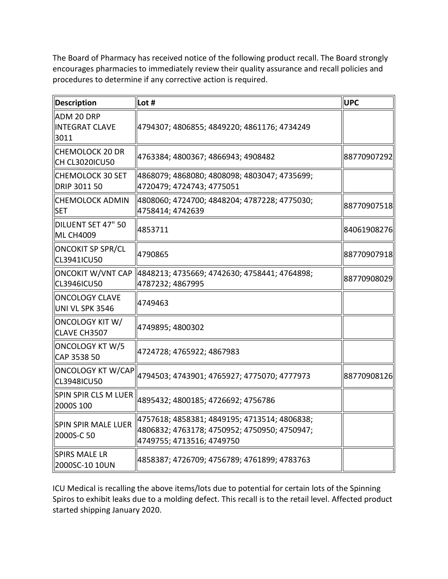The Board of Pharmacy has received notice of the following product recall. The Board strongly procedures to determine if any corrective action is required. encourages pharmacies to immediately review their quality assurance and recall policies and

| <b>Description</b>                       | Lot #                                                                                                                     | <b>UPC</b>  |
|------------------------------------------|---------------------------------------------------------------------------------------------------------------------------|-------------|
| ADM 20 DRP<br>INTEGRAT CLAVE<br>3011     | 4794307; 4806855; 4849220; 4861176; 4734249                                                                               |             |
| CHEMOLOCK 20 DR<br>ICH CL3020ICU50       | 4763384; 4800367; 4866943; 4908482                                                                                        | 88770907292 |
| llCHEMOLOCK 30 SET<br>DRIP 3011 50       | 4868079; 4868080; 4808098; 4803047; 4735699;<br>4720479; 4724743; 4775051                                                 |             |
| CHEMOLOCK ADMIN<br><b>SET</b>            | 4808060; 4724700; 4848204; 4787228; 4775030;<br>4758414; 4742639                                                          | 88770907518 |
| DILUENT SET 47" 50<br>ML CH4009          | 4853711                                                                                                                   | 84061908276 |
| <b>ONCOKIT SP SPR/CL</b><br>CL3941ICU50  | 4790865                                                                                                                   | 88770907918 |
| CL3946ICU50                              | 4787232; 4867995                                                                                                          | 88770908029 |
| <b>ONCOLOGY CLAVE</b><br>UNI VL SPK 3546 | 4749463                                                                                                                   |             |
| ONCOLOGY KIT W/<br>CLAVE CH3507          | 4749895; 4800302                                                                                                          |             |
| ONCOLOGY KT W/5<br>CAP 3538 50           | 4724728; 4765922; 4867983                                                                                                 |             |
| <b>ONCOLOGY KT W/CAP</b><br>CL3948ICU50  | 4794503; 4743901; 4765927; 4775070; 4777973                                                                               | 88770908126 |
| SPIN SPIR CLS M LUER<br>2000S 100        | 4895432; 4800185; 4726692; 4756786                                                                                        |             |
| SPIN SPIR MALE LUER<br>2000S-C 50        | 4757618; 4858381; 4849195; 4713514; 4806838;<br>4806832; 4763178; 4750952; 4750950; 4750947;<br>4749755; 4713516; 4749750 |             |
| SPIRS MALE LR<br>2000SC-10 10UN          | 4858387; 4726709; 4756789; 4761899; 4783763                                                                               |             |

 Spiros to exhibit leaks due to a molding defect. This recall is to the retail level. Affected product started shipping January 2020.